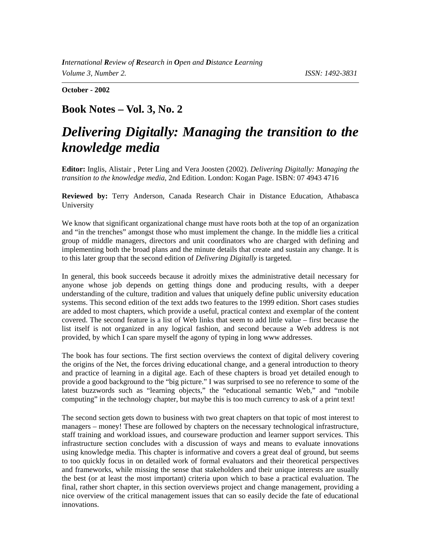**October - 2002** 

## **Book Notes – Vol. 3, No. 2**

## *Delivering Digitally: Managing the transition to the knowledge media*

**Editor:** Inglis, Alistair , Peter Ling and Vera Joosten (2002). *Delivering Digitally: Managing the transition to the knowledge media*, 2nd Edition. London: Kogan Page. ISBN: 07 4943 4716

**Reviewed by:** Terry Anderson, Canada Research Chair in Distance Education, Athabasca University

We know that significant organizational change must have roots both at the top of an organization and "in the trenches" amongst those who must implement the change. In the middle lies a critical group of middle managers, directors and unit coordinators who are charged with defining and implementing both the broad plans and the minute details that create and sustain any change. It is to this later group that the second edition of *Delivering Digitally* is targeted.

In general, this book succeeds because it adroitly mixes the administrative detail necessary for anyone whose job depends on getting things done and producing results, with a deeper understanding of the culture, tradition and values that uniquely define public university education systems. This second edition of the text adds two features to the 1999 edition. Short cases studies are added to most chapters, which provide a useful, practical context and exemplar of the content covered. The second feature is a list of Web links that seem to add little value – first because the list itself is not organized in any logical fashion, and second because a Web address is not provided, by which I can spare myself the agony of typing in long www addresses.

The book has four sections. The first section overviews the context of digital delivery covering the origins of the Net, the forces driving educational change, and a general introduction to theory and practice of learning in a digital age. Each of these chapters is broad yet detailed enough to provide a good background to the "big picture." I was surprised to see no reference to some of the latest buzzwords such as "learning objects," the "educational semantic Web," and "mobile computing" in the technology chapter, but maybe this is too much currency to ask of a print text!

The second section gets down to business with two great chapters on that topic of most interest to managers – money! These are followed by chapters on the necessary technological infrastructure, staff training and workload issues, and courseware production and learner support services. This infrastructure section concludes with a discussion of ways and means to evaluate innovations using knowledge media. This chapter is informative and covers a great deal of ground, but seems to too quickly focus in on detailed work of formal evaluators and their theoretical perspectives and frameworks, while missing the sense that stakeholders and their unique interests are usually the best (or at least the most important) criteria upon which to base a practical evaluation. The final, rather short chapter, in this section overviews project and change management, providing a nice overview of the critical management issues that can so easily decide the fate of educational innovations.